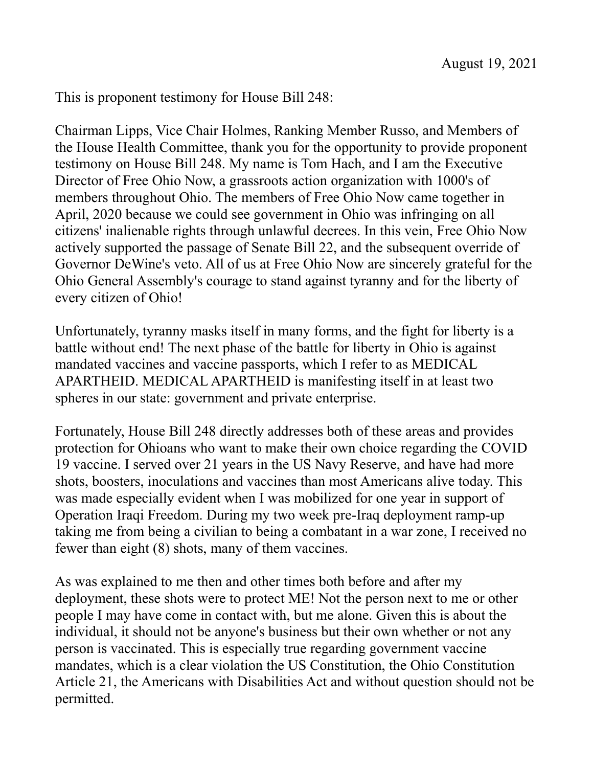This is proponent testimony for House Bill 248:

Chairman Lipps, Vice Chair Holmes, Ranking Member Russo, and Members of the House Health Committee, thank you for the opportunity to provide proponent testimony on House Bill 248. My name is Tom Hach, and I am the Executive Director of Free Ohio Now, a grassroots action organization with 1000's of members throughout Ohio. The members of Free Ohio Now came together in April, 2020 because we could see government in Ohio was infringing on all citizens' inalienable rights through unlawful decrees. In this vein, Free Ohio Now actively supported the passage of Senate Bill 22, and the subsequent override of Governor DeWine's veto. All of us at Free Ohio Now are sincerely grateful for the Ohio General Assembly's courage to stand against tyranny and for the liberty of every citizen of Ohio!

Unfortunately, tyranny masks itself in many forms, and the fight for liberty is a battle without end! The next phase of the battle for liberty in Ohio is against mandated vaccines and vaccine passports, which I refer to as MEDICAL APARTHEID. MEDICAL APARTHEID is manifesting itself in at least two spheres in our state: government and private enterprise.

Fortunately, House Bill 248 directly addresses both of these areas and provides protection for Ohioans who want to make their own choice regarding the COVID 19 vaccine. I served over 21 years in the US Navy Reserve, and have had more shots, boosters, inoculations and vaccines than most Americans alive today. This was made especially evident when I was mobilized for one year in support of Operation Iraqi Freedom. During my two week pre-Iraq deployment ramp-up taking me from being a civilian to being a combatant in a war zone, I received no fewer than eight (8) shots, many of them vaccines.

As was explained to me then and other times both before and after my deployment, these shots were to protect ME! Not the person next to me or other people I may have come in contact with, but me alone. Given this is about the individual, it should not be anyone's business but their own whether or not any person is vaccinated. This is especially true regarding government vaccine mandates, which is a clear violation the US Constitution, the Ohio Constitution Article 21, the Americans with Disabilities Act and without question should not be permitted.